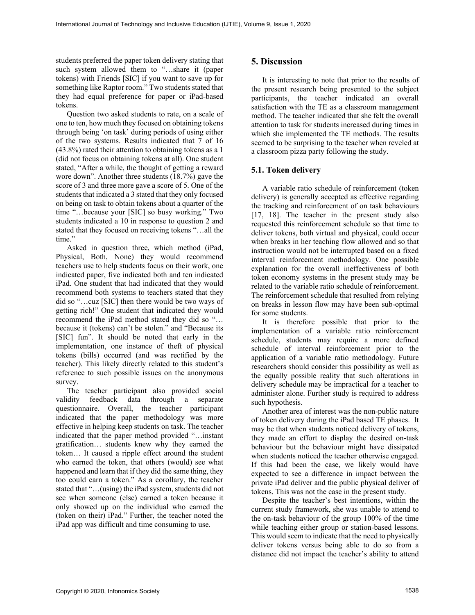students preferred the paper token delivery stating that such system allowed them to "…share it (paper tokens) with Friends [SIC] if you want to save up for something like Raptor room." Two students stated that they had equal preference for paper or iPad-based tokens.

Question two asked students to rate, on a scale of one to ten, how much they focused on obtaining tokens through being 'on task' during periods of using either of the two systems. Results indicated that 7 of 16 (43.8%) rated their attention to obtaining tokens as a 1 (did not focus on obtaining tokens at all). One student stated, "After a while, the thought of getting a reward wore down". Another three students (18.7%) gave the score of 3 and three more gave a score of 5. One of the students that indicated a 3 stated that they only focused on being on task to obtain tokens about a quarter of the time "…because your [SIC] so busy working." Two students indicated a 10 in response to question 2 and stated that they focused on receiving tokens "…all the time."

Asked in question three, which method (iPad, Physical, Both, None) they would recommend teachers use to help students focus on their work, one indicated paper, five indicated both and ten indicated iPad. One student that had indicated that they would recommend both systems to teachers stated that they did so "…cuz [SIC] then there would be two ways of getting rich!" One student that indicated they would recommend the iPad method stated they did so "… because it (tokens) can't be stolen." and "Because its [SIC] fun". It should be noted that early in the implementation, one instance of theft of physical tokens (bills) occurred (and was rectified by the teacher). This likely directly related to this student's reference to such possible issues on the anonymous survey.

The teacher participant also provided social validity feedback data through a separate questionnaire. Overall, the teacher participant indicated that the paper methodology was more effective in helping keep students on task. The teacher indicated that the paper method provided "…instant gratification… students knew why they earned the token… It caused a ripple effect around the student who earned the token, that others (would) see what happened and learn that if they did the same thing, they too could earn a token." As a corollary, the teacher stated that "…(using) the iPad system, students did not see when someone (else) earned a token because it only showed up on the individual who earned the (token on their) iPad." Further, the teacher noted the iPad app was difficult and time consuming to use.

# **5. Discussion**

It is interesting to note that prior to the results of the present research being presented to the subject participants, the teacher indicated an overall satisfaction with the TE as a classroom management method. The teacher indicated that she felt the overall attention to task for students increased during times in which she implemented the TE methods. The results seemed to be surprising to the teacher when reveled at a classroom pizza party following the study.

#### **5.1. Token delivery**

A variable ratio schedule of reinforcement (token delivery) is generally accepted as effective regarding the tracking and reinforcement of on task behaviours [17, 18]. The teacher in the present study also requested this reinforcement schedule so that time to deliver tokens, both virtual and physical, could occur when breaks in her teaching flow allowed and so that instruction would not be interrupted based on a fixed interval reinforcement methodology. One possible explanation for the overall ineffectiveness of both token economy systems in the present study may be related to the variable ratio schedule of reinforcement. The reinforcement schedule that resulted from relying on breaks in lesson flow may have been sub-optimal for some students.

It is therefore possible that prior to the implementation of a variable ratio reinforcement schedule, students may require a more defined schedule of interval reinforcement prior to the application of a variable ratio methodology. Future researchers should consider this possibility as well as the equally possible reality that such alterations in delivery schedule may be impractical for a teacher to administer alone. Further study is required to address such hypothesis.

Another area of interest was the non-public nature of token delivery during the iPad based TE phases. It may be that when students noticed delivery of tokens, they made an effort to display the desired on-task behaviour but the behaviour might have dissipated when students noticed the teacher otherwise engaged. If this had been the case, we likely would have expected to see a difference in impact between the private iPad deliver and the public physical deliver of tokens. This was not the case in the present study.

Despite the teacher's best intentions, within the current study framework, she was unable to attend to the on-task behaviour of the group 100% of the time while teaching either group or station-based lessons. This would seem to indicate that the need to physically deliver tokens versus being able to do so from a distance did not impact the teacher's ability to attend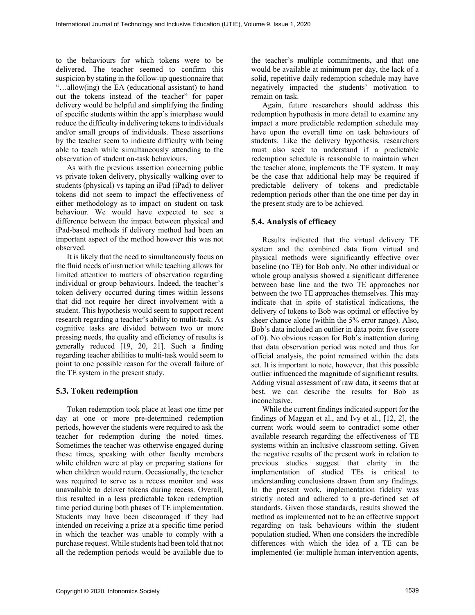to the behaviours for which tokens were to be delivered. The teacher seemed to confirm this suspicion by stating in the follow-up questionnaire that "…allow(ing) the EA (educational assistant) to hand out the tokens instead of the teacher" for paper delivery would be helpful and simplifying the finding of specific students within the app's interphase would reduce the difficulty in delivering tokens to individuals and/or small groups of individuals. These assertions by the teacher seem to indicate difficulty with being able to teach while simultaneously attending to the observation of student on-task behaviours.

As with the previous assertion concerning public vs private token delivery, physically walking over to students (physical) vs taping an iPad (iPad) to deliver tokens did not seem to impact the effectiveness of either methodology as to impact on student on task behaviour. We would have expected to see a difference between the impact between physical and iPad-based methods if delivery method had been an important aspect of the method however this was not observed.

It is likely that the need to simultaneously focus on the fluid needs of instruction while teaching allows for limited attention to matters of observation regarding individual or group behaviours. Indeed, the teacher's token delivery occurred during times within lessons that did not require her direct involvement with a student. This hypothesis would seem to support recent research regarding a teacher's ability to mulit-task. As cognitive tasks are divided between two or more pressing needs, the quality and efficiency of results is generally reduced [19, 20, 21]. Such a finding regarding teacher abilities to multi-task would seem to point to one possible reason for the overall failure of the TE system in the present study.

## **5.3. Token redemption**

Token redemption took place at least one time per day at one or more pre-determined redemption periods, however the students were required to ask the teacher for redemption during the noted times. Sometimes the teacher was otherwise engaged during these times, speaking with other faculty members while children were at play or preparing stations for when children would return. Occasionally, the teacher was required to serve as a recess monitor and was unavailable to deliver tokens during recess. Overall, this resulted in a less predictable token redemption time period during both phases of TE implementation. Students may have been discouraged if they had intended on receiving a prize at a specific time period in which the teacher was unable to comply with a purchase request. While students had been told that not all the redemption periods would be available due to the teacher's multiple commitments, and that one would be available at minimum per day, the lack of a solid, repetitive daily redemption schedule may have negatively impacted the students' motivation to remain on task.

Again, future researchers should address this redemption hypothesis in more detail to examine any impact a more predictable redemption schedule may have upon the overall time on task behaviours of students. Like the delivery hypothesis, researchers must also seek to understand if a predictable redemption schedule is reasonable to maintain when the teacher alone, implements the TE system. It may be the case that additional help may be required if predictable delivery of tokens and predictable redemption periods other than the one time per day in the present study are to be achieved.

## **5.4. Analysis of efficacy**

Results indicated that the virtual delivery TE system and the combined data from virtual and physical methods were significantly effective over baseline (no TE) for Bob only. No other individual or whole group analysis showed a significant difference between base line and the two TE approaches nor between the two TE approaches themselves. This may indicate that in spite of statistical indications, the delivery of tokens to Bob was optimal or effective by sheer chance alone (within the 5% error range). Also, Bob's data included an outlier in data point five (score of 0). No obvious reason for Bob's inattention during that data observation period was noted and thus for official analysis, the point remained within the data set. It is important to note, however, that this possible outlier influenced the magnitude of significant results. Adding visual assessment of raw data, it seems that at best, we can describe the results for Bob as inconclusive.

While the current findings indicated support for the findings of Maggan et al., and Ivy et al., [12, 2], the current work would seem to contradict some other available research regarding the effectiveness of TE systems within an inclusive classroom setting. Given the negative results of the present work in relation to previous studies suggest that clarity in the implementation of studied TEs is critical to understanding conclusions drawn from any findings. In the present work, implementation fidelity was strictly noted and adhered to a pre-defined set of standards. Given those standards, results showed the method as implemented not to be an effective support regarding on task behaviours within the student population studied. When one considers the incredible differences with which the idea of a TE can be implemented (ie: multiple human intervention agents,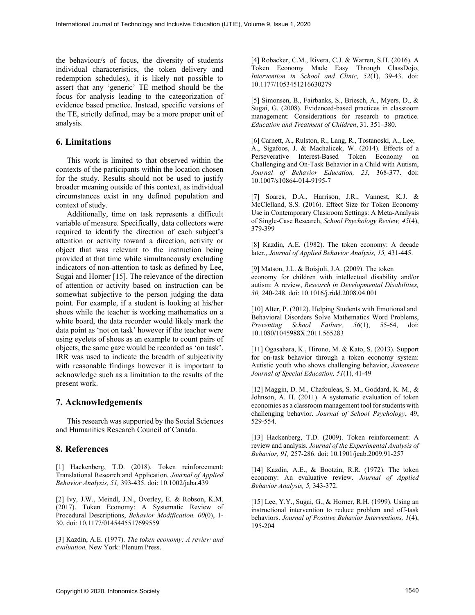the behaviour/s of focus, the diversity of students individual characteristics, the token delivery and redemption schedules), it is likely not possible to assert that any 'generic' TE method should be the focus for analysis leading to the categorization of evidence based practice. Instead, specific versions of the TE, strictly defined, may be a more proper unit of analysis.

## **6. Limitations**

This work is limited to that observed within the contexts of the participants within the location chosen for the study. Results should not be used to justify broader meaning outside of this context, as individual circumstances exist in any defined population and context of study.

Additionally, time on task represents a difficult variable of measure. Specifically, data collectors were required to identify the direction of each subject's attention or activity toward a direction, activity or object that was relevant to the instruction being provided at that time while simultaneously excluding indicators of non-attention to task as defined by Lee, Sugai and Horner [15]. The relevance of the direction of attention or activity based on instruction can be somewhat subjective to the person judging the data point. For example, if a student is looking at his/her shoes while the teacher is working mathematics on a white board, the data recorder would likely mark the data point as 'not on task' however if the teacher were using eyelets of shoes as an example to count pairs of objects, the same gaze would be recorded as 'on task'. IRR was used to indicate the breadth of subjectivity with reasonable findings however it is important to acknowledge such as a limitation to the results of the present work.

## **7. Acknowledgements**

This research was supported by the Social Sciences and Humanities Research Council of Canada.

#### **8. References**

[1] Hackenberg, T.D. (2018). Token reinforcement: Translational Research and Application. *Journal of Applied Behavior Analysis, 51,* 393-435. doi: 10.1002/jaba.439

[2] Ivy, J.W., Meindl, J.N., Overley, E. & Robson, K.M. (2017). Token Economy: A Systematic Review of Procedural Descriptions, *Behavior Modification, 00*(0), 1- 30. doi: 10.1177/0145445517699559

[3] Kazdin, A.E. (1977). *The token economy: A review and evaluation,* New York: Plenum Press.

[4] Robacker, C.M., Rivera, C.J. & Warren, S.H. (2016). A Token Economy Made Easy Through ClassDojo, *Intervention in School and Clinic, 52*(1), 39-43. doi: 10.1177/1053451216630279

[5] Simonsen, B., Fairbanks, S., Briesch, A., Myers, D., & Sugai, G. (2008). Evidenced-based practices in classroom management: Considerations for research to practice. *Education and Treatment of Children*, 31. 351–380.

[6] Carnett, A., Rulston, R., Lang, R., Tostanoski, A., Lee, A., Sigafoos, J. & Machalicek, W. (2014). Effects of a Perseverative Interest-Based Token Economy on Challenging and On-Task Behavior in a Child with Autism, *Journal of Behavior Education, 23,* 368-377. doi: 10.1007/s10864-014-9195-7

[7] Soares, D.A., Harrison, J.R., Vannest, K.J. & McClelland, S.S. (2016). Effect Size for Token Economy Use in Contemporary Classroom Settings: A Meta-Analysis of Single-Case Research, *School Psychology Review, 45*(4), 379-399

[8] Kazdin, A.E. (1982). The token economy: A decade later., *Journal of Applied Behavior Analysis, 15,* 431-445.

[9] Matson, J.L. & Boisjoli, J.A. (2009). The token economy for children with intellectual disability and/or autism: A review, *Research in Developmental Disabilities, 30,* 240-248. doi: 10.1016/j.ridd.2008.04.001

[10] Alter, P. (2012). Helping Students with Emotional and Behavioral Disorders Solve Mathematics Word Problems, *Preventing School Failure, 56*(1), 55-64, doi: 10.1080/1045988X.2011.565283

[11] Ogasahara, K., Hirono, M. & Kato, S. (2013). Support for on-task behavior through a token economy system: Autistic youth who shows challenging behavior, *Jamanese Journal of Special Education, 51*(1), 41-49

[12] Maggin, D. M., Chafouleas, S. M., Goddard, K. M., & Johnson, A. H. (2011). A systematic evaluation of token economies as a classroom management tool for students with challenging behavior. *Journal of School Psychology*, 49, 529-554.

[13] Hackenberg, T.D. (2009). Token reinforcement: A review and analysis. *Journal of the Experimental Analysis of Behavior, 91,* 257-286. doi: 10.1901/jeab.2009.91-257

[14] Kazdin, A.E., & Bootzin, R.R. (1972). The token economy: An evaluative review. *Journal of Applied Behavior Analysis, 5,* 343-372.

[15] Lee, Y.Y., Sugai, G., & Horner, R.H. (1999). Using an instructional intervention to reduce problem and off-task behaviors. *Journal of Positive Behavior Interventions, 1*(4), 195-204